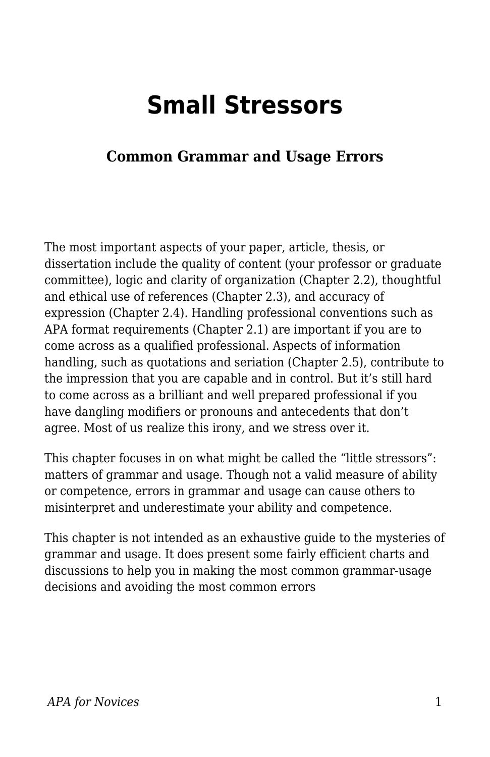# **Small Stressors**

## **Common Grammar and Usage Errors**

The most important aspects of your paper, article, thesis, or dissertation include the quality of content (your professor or graduate committee), logic and clarity of organization (Chapter 2.2), thoughtful and ethical use of references (Chapter 2.3), and accuracy of expression (Chapter 2.4). Handling professional conventions such as APA format requirements (Chapter 2.1) are important if you are to come across as a qualified professional. Aspects of information handling, such as quotations and seriation (Chapter 2.5), contribute to the impression that you are capable and in control. But it's still hard to come across as a brilliant and well prepared professional if you have dangling modifiers or pronouns and antecedents that don't agree. Most of us realize this irony, and we stress over it.

This chapter focuses in on what might be called the "little stressors": matters of grammar and usage. Though not a valid measure of ability or competence, errors in grammar and usage can cause others to misinterpret and underestimate your ability and competence.

This chapter is not intended as an exhaustive guide to the mysteries of grammar and usage. It does present some fairly efficient charts and discussions to help you in making the most common grammar-usage decisions and avoiding the most common errors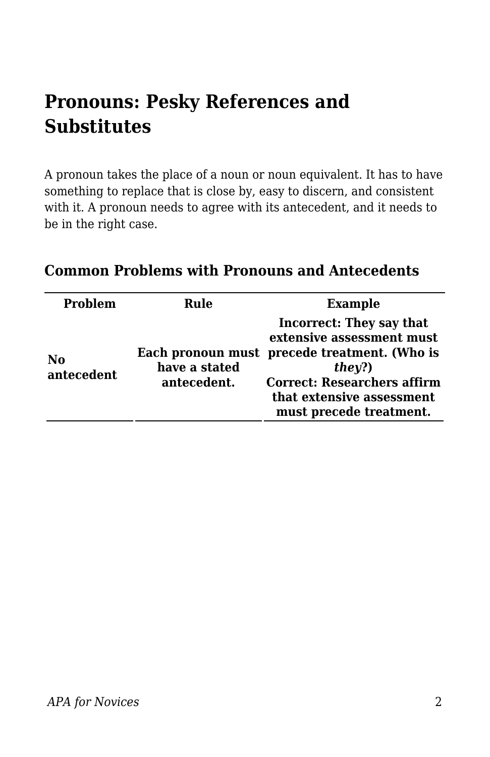# **Pronouns: Pesky References and Substitutes**

A pronoun takes the place of a noun or noun equivalent. It has to have something to replace that is close by, easy to discern, and consistent with it. A pronoun needs to agree with its antecedent, and it needs to be in the right case.

| <b>Problem</b>   | Rule                         | <b>Example</b>                                                                                                                                                                                                       |
|------------------|------------------------------|----------------------------------------------------------------------------------------------------------------------------------------------------------------------------------------------------------------------|
| No<br>antecedent | have a stated<br>antecedent. | <b>Incorrect: They say that</b><br>extensive assessment must<br>Each pronoun must precede treatment. (Who is<br>they?)<br><b>Correct: Researchers affirm</b><br>that extensive assessment<br>must precede treatment. |

#### **Common Problems with Pronouns and Antecedents**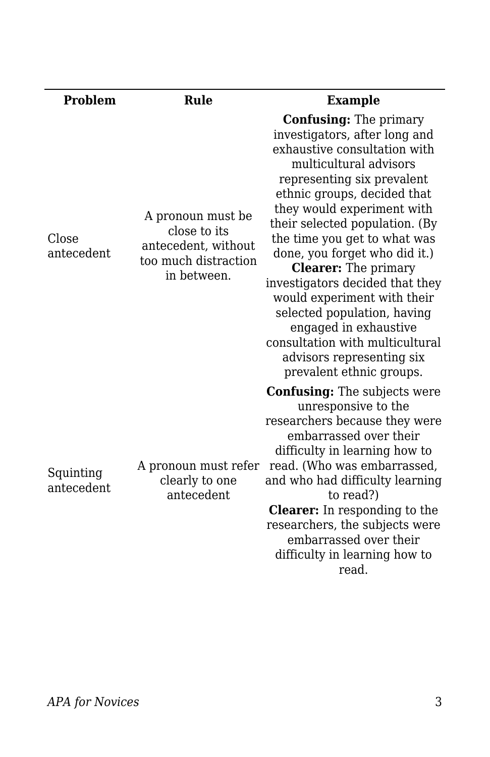| <b>Problem</b>          | Rule                                                                                            | <b>Example</b>                                                                                                                                                                                                                                                                                                                                                                                                                                                                                                                                                              |
|-------------------------|-------------------------------------------------------------------------------------------------|-----------------------------------------------------------------------------------------------------------------------------------------------------------------------------------------------------------------------------------------------------------------------------------------------------------------------------------------------------------------------------------------------------------------------------------------------------------------------------------------------------------------------------------------------------------------------------|
| Close<br>antecedent     | A pronoun must be<br>close to its<br>antecedent, without<br>too much distraction<br>in between. | <b>Confusing:</b> The primary<br>investigators, after long and<br>exhaustive consultation with<br>multicultural advisors<br>representing six prevalent<br>ethnic groups, decided that<br>they would experiment with<br>their selected population. (By<br>the time you get to what was<br>done, you forget who did it.)<br><b>Clearer:</b> The primary<br>investigators decided that they<br>would experiment with their<br>selected population, having<br>engaged in exhaustive<br>consultation with multicultural<br>advisors representing six<br>prevalent ethnic groups. |
| Squinting<br>antecedent | A pronoun must refer<br>clearly to one<br>antecedent                                            | <b>Confusing:</b> The subjects were<br>unresponsive to the<br>researchers because they were<br>embarrassed over their<br>difficulty in learning how to<br>read. (Who was embarrassed,<br>and who had difficulty learning<br>to read?)<br><b>Clearer:</b> In responding to the<br>researchers, the subjects were<br>embarrassed over their<br>difficulty in learning how to<br>read.                                                                                                                                                                                         |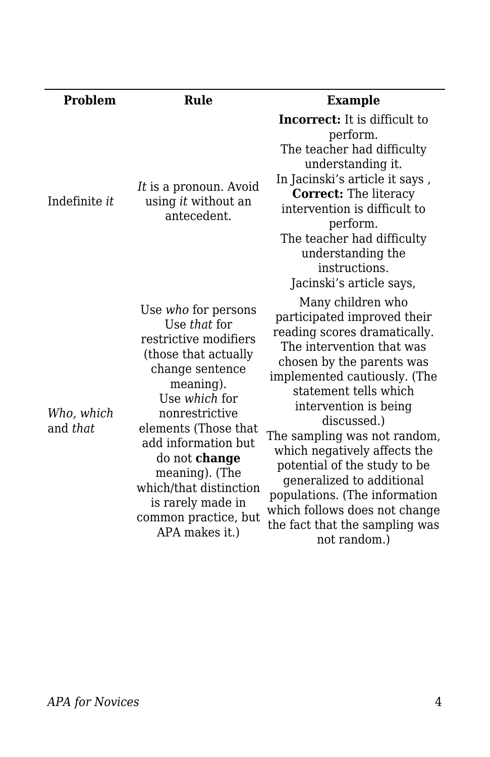| <b>Problem</b>         | Rule                                                                                                                                                                                                                                                                                                                               | <b>Example</b>                                                                                                                                                                                                                                                                                                                                                                                                                                                                               |
|------------------------|------------------------------------------------------------------------------------------------------------------------------------------------------------------------------------------------------------------------------------------------------------------------------------------------------------------------------------|----------------------------------------------------------------------------------------------------------------------------------------------------------------------------------------------------------------------------------------------------------------------------------------------------------------------------------------------------------------------------------------------------------------------------------------------------------------------------------------------|
| Indefinite <i>it</i>   | It is a pronoun. Avoid<br>using it without an<br>antecedent.                                                                                                                                                                                                                                                                       | <b>Incorrect:</b> It is difficult to<br>perform.<br>The teacher had difficulty<br>understanding it.<br>In Jacinski's article it says,<br><b>Correct:</b> The literacy<br>intervention is difficult to<br>perform.<br>The teacher had difficulty<br>understanding the<br>instructions.<br>Jacinski's article says,                                                                                                                                                                            |
| Who, which<br>and that | Use who for persons<br>Use that for<br>restrictive modifiers<br>(those that actually<br>change sentence<br>meaning).<br>Use which for<br>nonrestrictive<br>elements (Those that<br>add information but<br>do not change<br>meaning). (The<br>which/that distinction<br>is rarely made in<br>common practice, but<br>APA makes it.) | Many children who<br>participated improved their<br>reading scores dramatically.<br>The intervention that was<br>chosen by the parents was<br>implemented cautiously. (The<br>statement tells which<br>intervention is being<br>discussed.)<br>The sampling was not random,<br>which negatively affects the<br>potential of the study to be<br>generalized to additional<br>populations. (The information<br>which follows does not change<br>the fact that the sampling was<br>not random.) |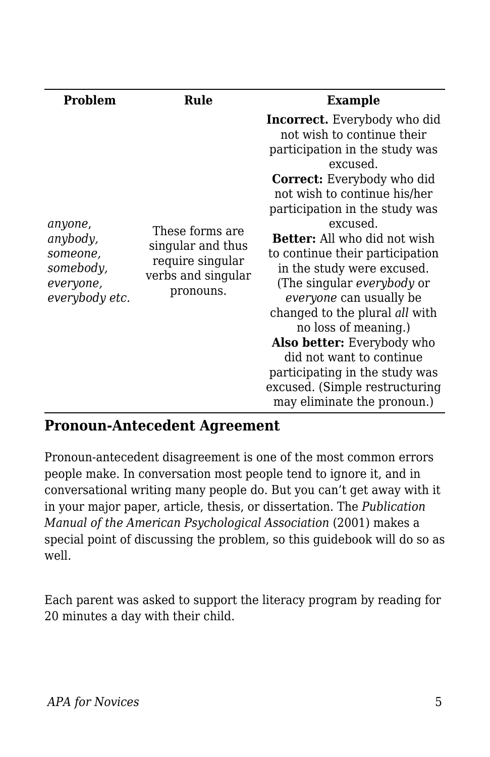| <b>Problem</b>                                                              | Rule                                                                                        | <b>Example</b>                                                                                                                                                                                                                                                                                                                                                                                                                                                                                                                                                                                                                                  |
|-----------------------------------------------------------------------------|---------------------------------------------------------------------------------------------|-------------------------------------------------------------------------------------------------------------------------------------------------------------------------------------------------------------------------------------------------------------------------------------------------------------------------------------------------------------------------------------------------------------------------------------------------------------------------------------------------------------------------------------------------------------------------------------------------------------------------------------------------|
| anyone,<br>anybody,<br>someone,<br>somebody,<br>everyone,<br>everybody etc. | These forms are<br>singular and thus<br>require singular<br>verbs and singular<br>pronouns. | <b>Incorrect.</b> Everybody who did<br>not wish to continue their<br>participation in the study was<br>excused.<br><b>Correct:</b> Everybody who did<br>not wish to continue his/her<br>participation in the study was<br>excused.<br><b>Better:</b> All who did not wish<br>to continue their participation<br>in the study were excused.<br>(The singular <i>everybody</i> or<br><i>everyone</i> can usually be<br>changed to the plural all with<br>no loss of meaning.)<br><b>Also better:</b> Everybody who<br>did not want to continue<br>participating in the study was<br>excused. (Simple restructuring<br>may eliminate the pronoun.) |

#### **Pronoun-Antecedent Agreement**

Pronoun-antecedent disagreement is one of the most common errors people make. In conversation most people tend to ignore it, and in conversational writing many people do. But you can't get away with it in your major paper, article, thesis, or dissertation. The *Publication Manual of the American Psychological Association* (2001) makes a special point of discussing the problem, so this guidebook will do so as well.

Each parent was asked to support the literacy program by reading for 20 minutes a day with their child.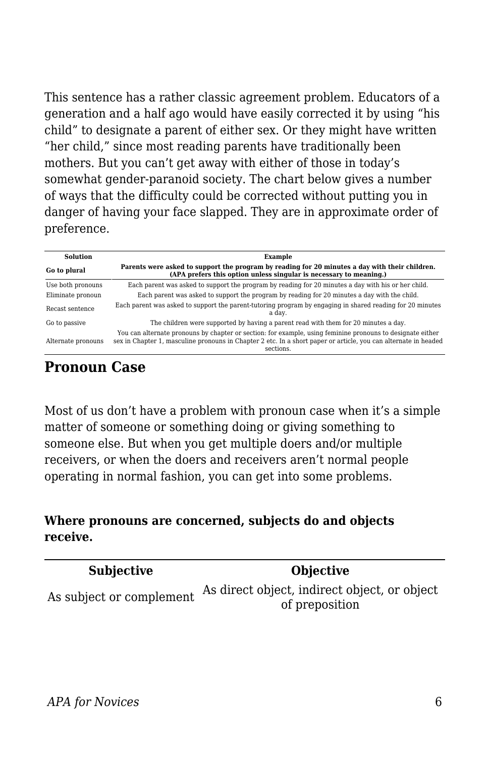This sentence has a rather classic agreement problem. Educators of a generation and a half ago would have easily corrected it by using "his child" to designate a parent of either sex. Or they might have written "her child," since most reading parents have traditionally been mothers. But you can't get away with either of those in today's somewhat gender-paranoid society. The chart below gives a number of ways that the difficulty could be corrected without putting you in danger of having your face slapped. They are in approximate order of preference.

| <b>Solution</b>    | Example                                                                                                                                                                                                                                    |  |
|--------------------|--------------------------------------------------------------------------------------------------------------------------------------------------------------------------------------------------------------------------------------------|--|
| Go to plural       | Parents were asked to support the program by reading for 20 minutes a day with their children.<br>(APA prefers this option unless singular is necessary to meaning.)                                                                       |  |
| Use both pronouns  | Each parent was asked to support the program by reading for 20 minutes a day with his or her child.                                                                                                                                        |  |
| Eliminate pronoun  | Each parent was asked to support the program by reading for 20 minutes a day with the child.                                                                                                                                               |  |
| Recast sentence    | Each parent was asked to support the parent-tutoring program by engaging in shared reading for 20 minutes<br>a dav.                                                                                                                        |  |
| Go to passive      | The children were supported by having a parent read with them for 20 minutes a day.                                                                                                                                                        |  |
| Alternate pronouns | You can alternate pronouns by chapter or section: for example, using feminine pronouns to designate either<br>sex in Chapter 1, masculine pronouns in Chapter 2 etc. In a short paper or article, you can alternate in headed<br>sections. |  |

#### **Pronoun Case**

Most of us don't have a problem with pronoun case when it's a simple matter of someone or something doing or giving something to someone else. But when you get multiple doers and/or multiple receivers, or when the doers and receivers aren't normal people operating in normal fashion, you can get into some problems.

#### **Where pronouns are concerned, subjects do and objects receive.**

| <b>Subjective</b>        | <b>Objective</b>                             |
|--------------------------|----------------------------------------------|
|                          | As direct object, indirect object, or object |
| As subject or complement | of preposition                               |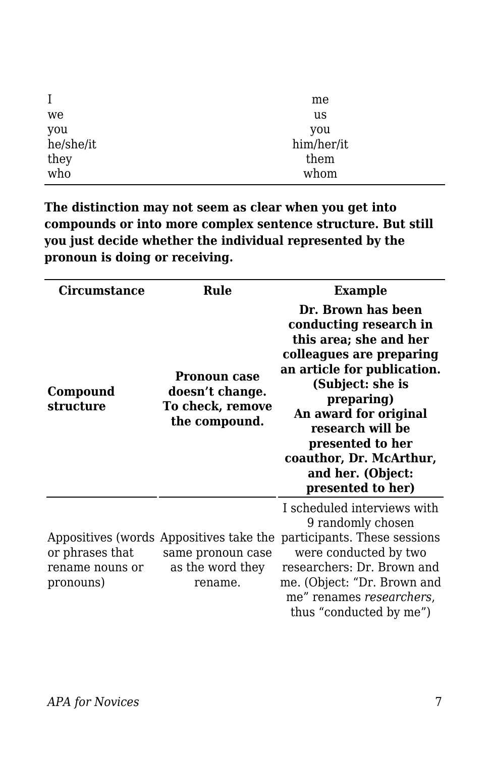| $\bf{I}$  | me         |
|-----------|------------|
| we        | us         |
| you       | you        |
| he/she/it | him/her/it |
| they      | them       |
| who       | whom       |

**The distinction may not seem as clear when you get into compounds or into more complex sentence structure. But still you just decide whether the individual represented by the pronoun is doing or receiving.**

| Circumstance                                    | Rule                                                                                        | <b>Example</b>                                                                                                                                                                                                                                                                                            |
|-------------------------------------------------|---------------------------------------------------------------------------------------------|-----------------------------------------------------------------------------------------------------------------------------------------------------------------------------------------------------------------------------------------------------------------------------------------------------------|
| Compound<br>structure                           | <b>Pronoun case</b><br>doesn't change.<br>To check, remove<br>the compound.                 | Dr. Brown has been<br>conducting research in<br>this area; she and her<br>colleagues are preparing<br>an article for publication.<br>(Subject: she is<br>preparing)<br>An award for original<br>research will be<br>presented to her<br>coauthor, Dr. McArthur,<br>and her. (Object:<br>presented to her) |
| or phrases that<br>rename nouns or<br>pronouns) | Appositives (words Appositives take the<br>same pronoun case<br>as the word they<br>rename. | I scheduled interviews with<br>9 randomly chosen<br>participants. These sessions<br>were conducted by two<br>researchers: Dr. Brown and<br>me. (Object: "Dr. Brown and<br>me" renames researchers,<br>thus "conducted by me")                                                                             |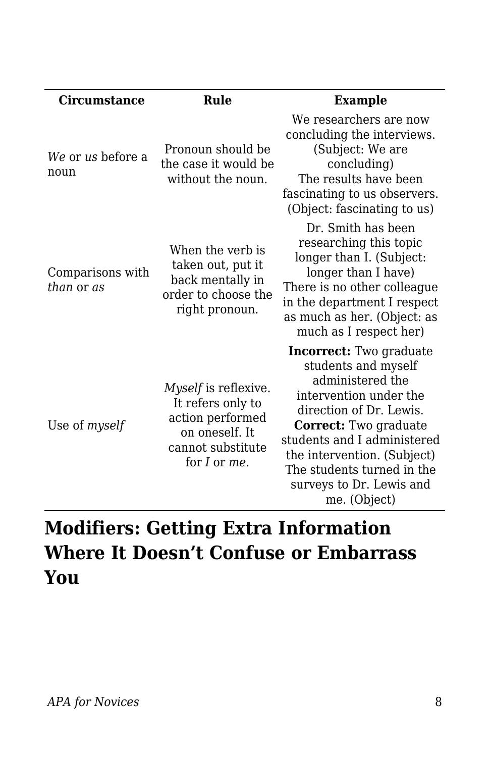| <b>Circumstance</b>            | Rule                                                                                                                 | <b>Example</b>                                                                                                                                                                                                                                                                                  |
|--------------------------------|----------------------------------------------------------------------------------------------------------------------|-------------------------------------------------------------------------------------------------------------------------------------------------------------------------------------------------------------------------------------------------------------------------------------------------|
| We or us before a<br>noun      | Pronoun should be<br>the case it would be<br>without the noun.                                                       | We researchers are now<br>concluding the interviews.<br>(Subject: We are<br>concluding)<br>The results have been<br>fascinating to us observers.<br>(Object: fascinating to us)                                                                                                                 |
| Comparisons with<br>than or as | When the verb is<br>taken out, put it<br>back mentally in<br>order to choose the<br>right pronoun.                   | Dr. Smith has been<br>researching this topic<br>longer than I. (Subject:<br>longer than I have)<br>There is no other colleague<br>in the department I respect<br>as much as her. (Object: as<br>much as I respect her)                                                                          |
| Use of myself                  | Myself is reflexive.<br>It refers only to<br>action performed<br>on oneself. It<br>cannot substitute<br>for I or me. | <b>Incorrect:</b> Two graduate<br>students and myself<br>administered the<br>intervention under the<br>direction of Dr. Lewis.<br>Correct: Two graduate<br>students and I administered<br>the intervention. (Subject)<br>The students turned in the<br>surveys to Dr. Lewis and<br>me. (Object) |

# **Modifiers: Getting Extra Information Where It Doesn't Confuse or Embarrass You**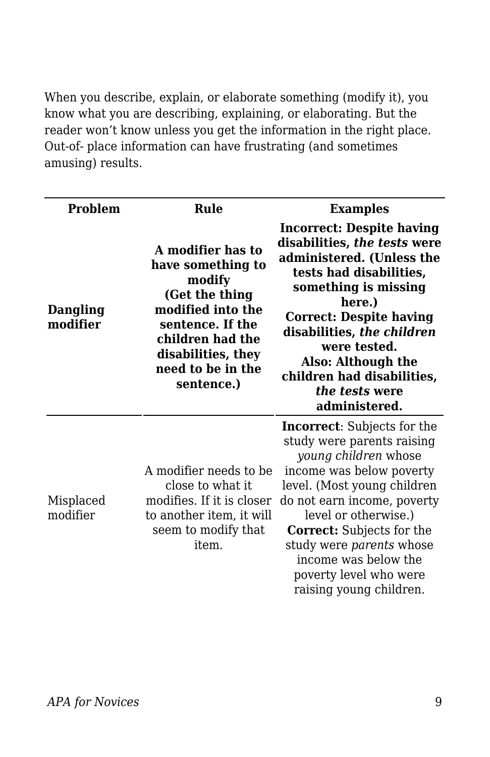When you describe, explain, or elaborate something (modify it), you know what you are describing, explaining, or elaborating. But the reader won't know unless you get the information in the right place. Out-of- place information can have frustrating (and sometimes amusing) results.

| Problem               | Rule                                                                                                                                                                                     | <b>Examples</b>                                                                                                                                                                                                                                                                                                                                         |
|-----------------------|------------------------------------------------------------------------------------------------------------------------------------------------------------------------------------------|---------------------------------------------------------------------------------------------------------------------------------------------------------------------------------------------------------------------------------------------------------------------------------------------------------------------------------------------------------|
| Dangling<br>modifier  | A modifier has to<br>have something to<br>modify<br>(Get the thing<br>modified into the<br>sentence. If the<br>children had the<br>disabilities, they<br>need to be in the<br>sentence.) | <b>Incorrect: Despite having</b><br>disabilities, the tests were<br>administered. (Unless the<br>tests had disabilities,<br>something is missing<br>here.)<br><b>Correct: Despite having</b><br>disabilities, the children<br>were tested.<br>Also: Although the<br>children had disabilities,<br>the tests were<br>administered.                       |
| Misplaced<br>modifier | A modifier needs to be<br>close to what it<br>modifies. If it is closer<br>to another item, it will<br>seem to modify that<br>item.                                                      | <b>Incorrect:</b> Subjects for the<br>study were parents raising<br>young children whose<br>income was below poverty<br>level. (Most young children<br>do not earn income, poverty<br>level or otherwise.)<br><b>Correct:</b> Subjects for the<br>study were parents whose<br>income was below the<br>poverty level who were<br>raising young children. |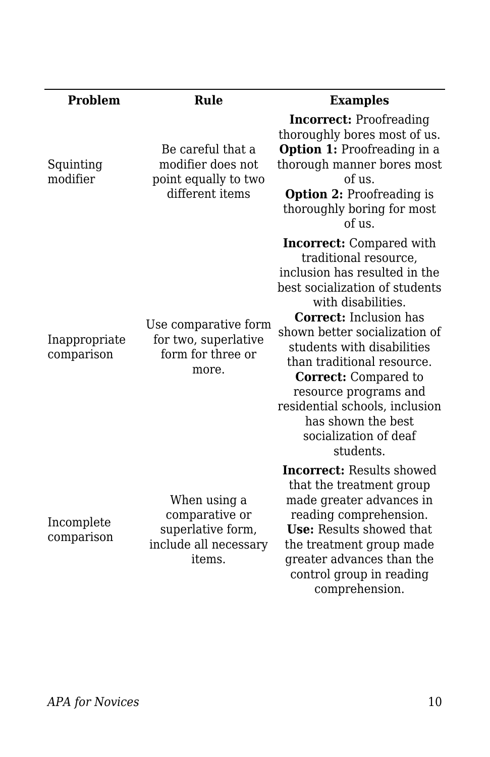| <b>Problem</b>              | Rule                                                                                   | <b>Examples</b>                                                                                                                                                                                                                                                                                                                                                                                                                       |
|-----------------------------|----------------------------------------------------------------------------------------|---------------------------------------------------------------------------------------------------------------------------------------------------------------------------------------------------------------------------------------------------------------------------------------------------------------------------------------------------------------------------------------------------------------------------------------|
| Squinting<br>modifier       | Be careful that a<br>modifier does not<br>point equally to two<br>different items      | <b>Incorrect:</b> Proofreading<br>thoroughly bores most of us.<br><b>Option 1:</b> Proofreading in a<br>thorough manner bores most<br>of us.<br><b>Option 2:</b> Proofreading is<br>thoroughly boring for most<br>of us.                                                                                                                                                                                                              |
| Inappropriate<br>comparison | Use comparative form<br>for two, superlative<br>form for three or<br>more.             | <b>Incorrect:</b> Compared with<br>traditional resource,<br>inclusion has resulted in the<br>best socialization of students<br>with disabilities.<br><b>Correct:</b> Inclusion has<br>shown better socialization of<br>students with disabilities<br>than traditional resource.<br><b>Correct:</b> Compared to<br>resource programs and<br>residential schools, inclusion<br>has shown the best<br>socialization of deaf<br>students. |
| Incomplete<br>comparison    | When using a<br>comparative or<br>superlative form,<br>include all necessary<br>items. | <b>Incorrect:</b> Results showed<br>that the treatment group<br>made greater advances in<br>reading comprehension.<br>Use: Results showed that<br>the treatment group made<br>greater advances than the<br>control group in reading<br>comprehension.                                                                                                                                                                                 |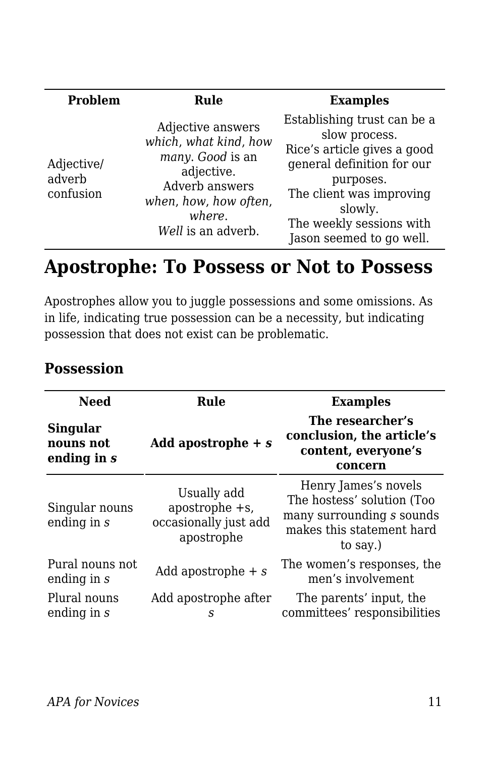| Problem                           | Rule                                                                                                                                                    | <b>Examples</b>                                                                                                                                                                                                       |
|-----------------------------------|---------------------------------------------------------------------------------------------------------------------------------------------------------|-----------------------------------------------------------------------------------------------------------------------------------------------------------------------------------------------------------------------|
| Adjective/<br>adverb<br>confusion | Adjective answers<br>which, what kind, how<br>many. Good is an<br>adjective.<br>Adverb answers<br>when, how, how often,<br>where.<br>Well is an adverb. | Establishing trust can be a<br>slow process.<br>Rice's article gives a good<br>general definition for our<br>purposes.<br>The client was improving<br>slowly.<br>The weekly sessions with<br>Jason seemed to go well. |

## **Apostrophe: To Possess or Not to Possess**

Apostrophes allow you to juggle possessions and some omissions. As in life, indicating true possession can be a necessity, but indicating possession that does not exist can be problematic.

| <b>Need</b>                                 | Rule                                                                    | <b>Examples</b>                                                                                                          |
|---------------------------------------------|-------------------------------------------------------------------------|--------------------------------------------------------------------------------------------------------------------------|
| <b>Singular</b><br>nouns not<br>ending in s | Add apostrophe $+ s$                                                    | The researcher's<br>conclusion, the article's<br>content, everyone's<br>concern                                          |
| Singular nouns<br>ending in $s$             | Usually add<br>apostrophe $+s$ ,<br>occasionally just add<br>apostrophe | Henry James's novels<br>The hostess' solution (Too<br>many surrounding s sounds<br>makes this statement hard<br>to say.) |
| Pural nouns not<br>ending in s              | Add apostrophe $+ s$                                                    | The women's responses, the<br>men's involvement                                                                          |
| Plural nouns<br>ending in s                 | Add apostrophe after<br>S                                               | The parents' input, the<br>committees' responsibilities                                                                  |

## **Possession**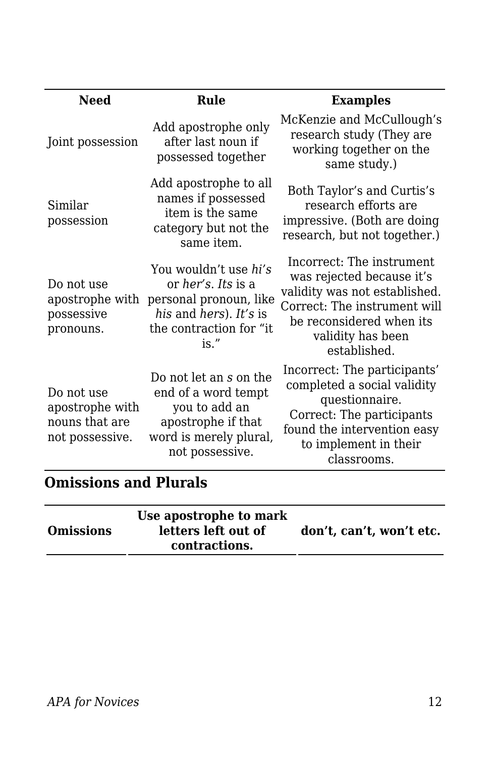| <b>Need</b>                                                        | Rule                                                                                                                                       | <b>Examples</b>                                                                                                                                                                          |
|--------------------------------------------------------------------|--------------------------------------------------------------------------------------------------------------------------------------------|------------------------------------------------------------------------------------------------------------------------------------------------------------------------------------------|
| Joint possession                                                   | Add apostrophe only<br>after last noun if<br>possessed together                                                                            | McKenzie and McCullough's<br>research study (They are<br>working together on the<br>same study.)                                                                                         |
| Similar<br>possession                                              | Add apostrophe to all<br>names if possessed<br>item is the same<br>category but not the<br>same item.                                      | Both Taylor's and Curtis's<br>research efforts are<br>impressive. (Both are doing<br>research, but not together.)                                                                        |
| Do not use<br>apostrophe with<br>possessive<br>pronouns.           | You wouldn't use hi's<br>or <i>her's. Its</i> is a<br>personal pronoun, like<br>his and hers). It's is<br>the contraction for "it"<br>is." | Incorrect: The instrument<br>was rejected because it's<br>validity was not established.<br>Correct: The instrument will<br>be reconsidered when its<br>validity has been<br>established. |
| Do not use<br>apostrophe with<br>nouns that are<br>not possessive. | Do not let an s on the<br>end of a word tempt<br>you to add an<br>apostrophe if that<br>word is merely plural,<br>not possessive.          | Incorrect: The participants'<br>completed a social validity<br>questionnaire.<br>Correct: The participants<br>found the intervention easy<br>to implement in their<br>classrooms.        |

## **Omissions and Plurals**

| Use apostrophe to mark<br><b>Omissions</b><br>letters left out of<br>contractions. | don't, can't, won't etc. |
|------------------------------------------------------------------------------------|--------------------------|
|------------------------------------------------------------------------------------|--------------------------|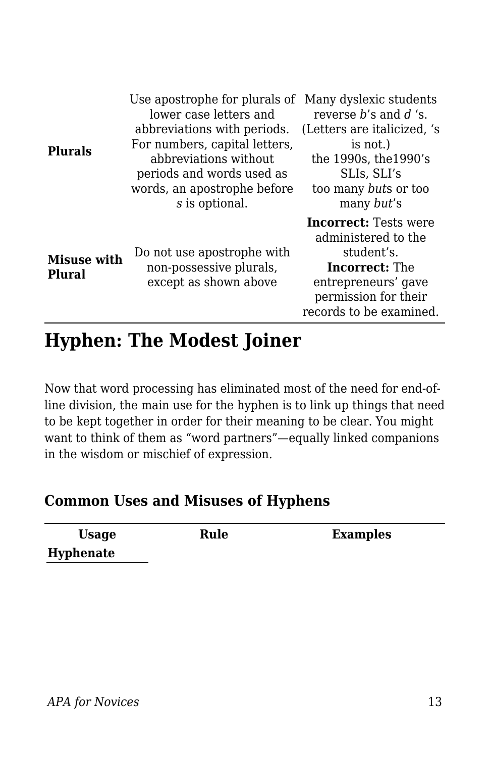| <b>Plurals</b>               | Use apostrophe for plurals of Many dyslexic students<br>lower case letters and<br>abbreviations with periods.<br>For numbers, capital letters,<br>abbreviations without<br>periods and words used as<br>words, an apostrophe before<br>s is optional. | reverse $h$ 's and $d$ 's.<br>(Letters are italicized, 's<br>is not.)<br>the 1990s, the 1990's<br>SLIs, SLI's<br>too many buts or too<br>many but's                  |
|------------------------------|-------------------------------------------------------------------------------------------------------------------------------------------------------------------------------------------------------------------------------------------------------|----------------------------------------------------------------------------------------------------------------------------------------------------------------------|
| <b>Misuse with</b><br>Plural | Do not use apostrophe with<br>non-possessive plurals,<br>except as shown above                                                                                                                                                                        | <b>Incorrect:</b> Tests were<br>administered to the<br>student's.<br><b>Incorrect:</b> The<br>entrepreneurs' gave<br>permission for their<br>records to be examined. |

## **Hyphen: The Modest Joiner**

Now that word processing has eliminated most of the need for end-ofline division, the main use for the hyphen is to link up things that need to be kept together in order for their meaning to be clear. You might want to think of them as "word partners"—equally linked companions in the wisdom or mischief of expression.

#### **Common Uses and Misuses of Hyphens**

| <b>Usage</b> | Rule | <b>Examples</b> |
|--------------|------|-----------------|
| Hyphenate    |      |                 |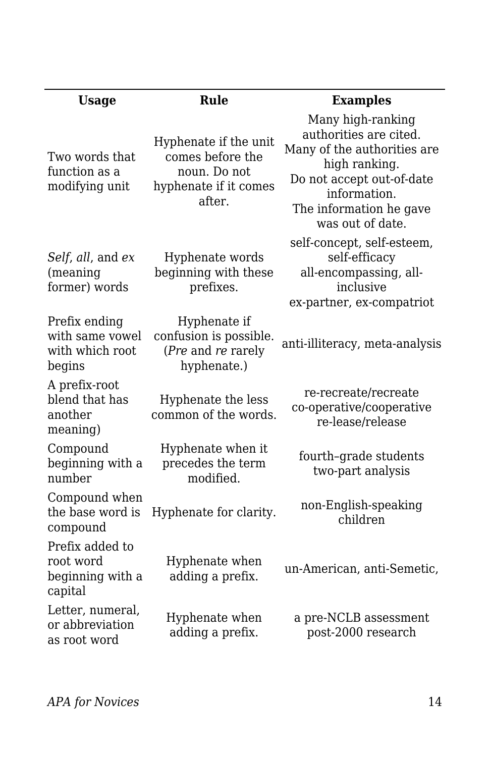| <b>Usage</b>                                                  | Rule                                                                                         | <b>Examples</b>                                                                                                                                                                         |
|---------------------------------------------------------------|----------------------------------------------------------------------------------------------|-----------------------------------------------------------------------------------------------------------------------------------------------------------------------------------------|
| Two words that<br>function as a<br>modifying unit             | Hyphenate if the unit<br>comes before the<br>noun. Do not<br>hyphenate if it comes<br>after. | Many high-ranking<br>authorities are cited.<br>Many of the authorities are<br>high ranking.<br>Do not accept out-of-date<br>information.<br>The information he gave<br>was out of date. |
| Self, all, and ex<br>(meaning<br>former) words                | Hyphenate words<br>beginning with these<br>prefixes.                                         | self-concept, self-esteem,<br>self-efficacy<br>all-encompassing, all-<br>inclusive<br>ex-partner, ex-compatriot                                                                         |
| Prefix ending<br>with same vowel<br>with which root<br>begins | Hyphenate if<br>confusion is possible.<br>(Pre and re rarely<br>hyphenate.)                  | anti-illiteracy, meta-analysis                                                                                                                                                          |
| A prefix-root<br>blend that has<br>another<br>meaning)        | Hyphenate the less<br>common of the words.                                                   | re-recreate/recreate<br>co-operative/cooperative<br>re-lease/release                                                                                                                    |
| Compound<br>beginning with a<br>number                        | Hyphenate when it<br>precedes the term<br>modified.                                          | fourth-grade students<br>two-part analysis                                                                                                                                              |
| Compound when<br>the base word is<br>compound                 | Hyphenate for clarity.                                                                       | non-English-speaking<br>children                                                                                                                                                        |
| Prefix added to<br>root word<br>beginning with a<br>capital   | Hyphenate when<br>adding a prefix.                                                           | un-American, anti-Semetic,                                                                                                                                                              |
| Letter, numeral,<br>or abbreviation<br>as root word           | Hyphenate when<br>adding a prefix.                                                           | a pre-NCLB assessment<br>post-2000 research                                                                                                                                             |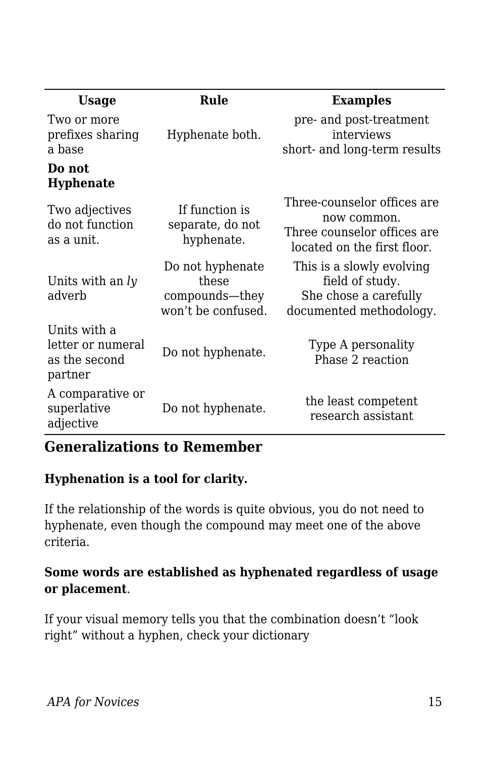| <b>Usage</b>                                                  | Rule                                                              | <b>Examples</b>                                                                                          |
|---------------------------------------------------------------|-------------------------------------------------------------------|----------------------------------------------------------------------------------------------------------|
| Two or more<br>prefixes sharing<br>a base                     | Hyphenate both.                                                   | pre- and post-treatment<br>interviews<br>short- and long-term results                                    |
| Do not<br><b>Hyphenate</b>                                    |                                                                   |                                                                                                          |
| Two adjectives<br>do not function<br>as a unit.               | If function is<br>separate, do not<br>hyphenate.                  | Three-counselor offices are<br>now common.<br>Three counselor offices are<br>located on the first floor. |
| Units with an $l$ $\nu$<br>adverb                             | Do not hyphenate<br>these<br>compounds-they<br>won't be confused. | This is a slowly evolving<br>field of study.<br>She chose a carefully<br>documented methodology.         |
| Units with a<br>letter or numeral<br>as the second<br>partner | Do not hyphenate.                                                 | Type A personality<br>Phase 2 reaction                                                                   |
| A comparative or<br>superlative<br>adjective                  | Do not hyphenate.                                                 | the least competent<br>research assistant                                                                |

#### **Generalizations to Remember**

#### **Hyphenation is a tool for clarity.**

If the relationship of the words is quite obvious, you do not need to hyphenate, even though the compound may meet one of the above criteria.

#### **Some words are established as hyphenated regardless of usage or placement**.

If your visual memory tells you that the combination doesn't "look right" without a hyphen, check your dictionary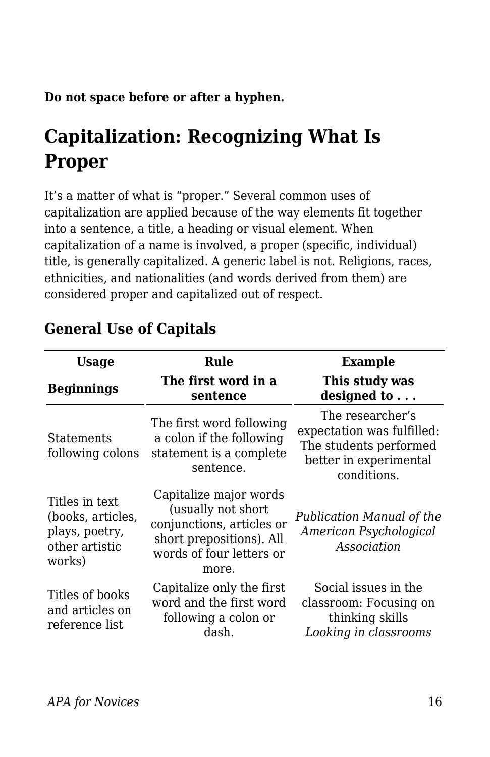**Do not space before or after a hyphen.**

# **Capitalization: Recognizing What Is Proper**

It's a matter of what is "proper." Several common uses of capitalization are applied because of the way elements fit together into a sentence, a title, a heading or visual element. When capitalization of a name is involved, a proper (specific, individual) title, is generally capitalized. A generic label is not. Religions, races, ethnicities, and nationalities (and words derived from them) are considered proper and capitalized out of respect.

| <b>Usage</b>                                                                      | Rule                                                                                                                                       | Example                                                                                                           |
|-----------------------------------------------------------------------------------|--------------------------------------------------------------------------------------------------------------------------------------------|-------------------------------------------------------------------------------------------------------------------|
| <b>Beginnings</b>                                                                 | The first word in a<br>sentence                                                                                                            | This study was<br>designed to                                                                                     |
| Statements<br>following colons                                                    | The first word following<br>a colon if the following<br>statement is a complete<br>sentence.                                               | The researcher's<br>expectation was fulfilled:<br>The students performed<br>better in experimental<br>conditions. |
| Titles in text<br>(books, articles,<br>plays, poetry,<br>other artistic<br>works) | Capitalize major words<br>(usually not short<br>conjunctions, articles or<br>short prepositions). All<br>words of four letters or<br>more. | Publication Manual of the<br>American Psychological<br>Association                                                |
| Titles of books<br>and articles on<br>reference list                              | Capitalize only the first<br>word and the first word<br>following a colon or<br>dash.                                                      | Social issues in the<br>classroom: Focusing on<br>thinking skills<br>Looking in classrooms                        |

## **General Use of Capitals**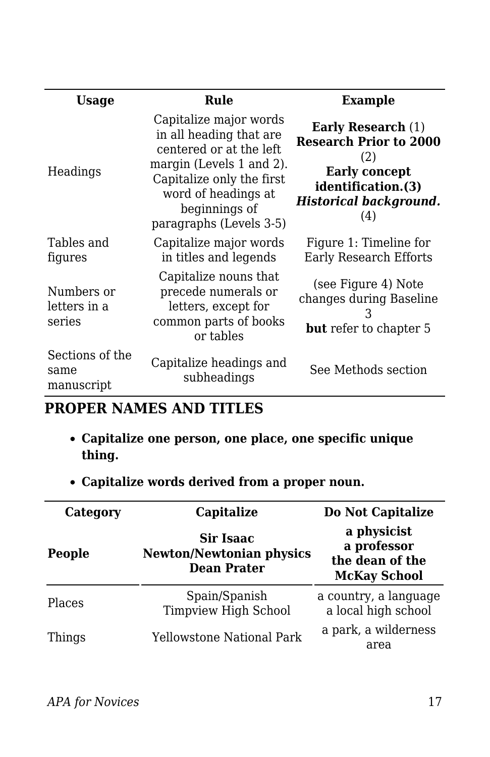| Usage                                 | Rule                                                                                                                                                                                                     | <b>Example</b>                                                                                                                                          |
|---------------------------------------|----------------------------------------------------------------------------------------------------------------------------------------------------------------------------------------------------------|---------------------------------------------------------------------------------------------------------------------------------------------------------|
| Headings                              | Capitalize major words<br>in all heading that are<br>centered or at the left<br>margin (Levels 1 and 2).<br>Capitalize only the first<br>word of headings at<br>beginnings of<br>paragraphs (Levels 3-5) | <b>Early Research</b> (1)<br><b>Research Prior to 2000</b><br>(2)<br><b>Early concept</b><br>identification.(3)<br><b>Historical background.</b><br>(4) |
| Tables and<br>figures                 | Capitalize major words<br>in titles and legends                                                                                                                                                          | Figure 1: Timeline for<br><b>Early Research Efforts</b>                                                                                                 |
| Numbers or<br>letters in a<br>series  | Capitalize nouns that<br>precede numerals or<br>letters, except for<br>common parts of books<br>or tables                                                                                                | (see Figure 4) Note<br>changes during Baseline<br><b>but</b> refer to chapter 5                                                                         |
| Sections of the<br>same<br>manuscript | Capitalize headings and<br>subheadings                                                                                                                                                                   | See Methods section                                                                                                                                     |

#### **PROPER NAMES AND TITLES**

- **Capitalize one person, one place, one specific unique thing.**
- **Capitalize words derived from a proper noun.**

| Category      | Capitalize                                                         | Do Not Capitalize                                                    |
|---------------|--------------------------------------------------------------------|----------------------------------------------------------------------|
| People        | Sir Isaac<br><b>Newton/Newtonian physics</b><br><b>Dean Prater</b> | a physicist<br>a professor<br>the dean of the<br><b>McKay School</b> |
| <b>Places</b> | Spain/Spanish<br><b>Timpview High School</b>                       | a country, a language<br>a local high school                         |
| Things        | Yellowstone National Park                                          | a park, a wilderness<br>area                                         |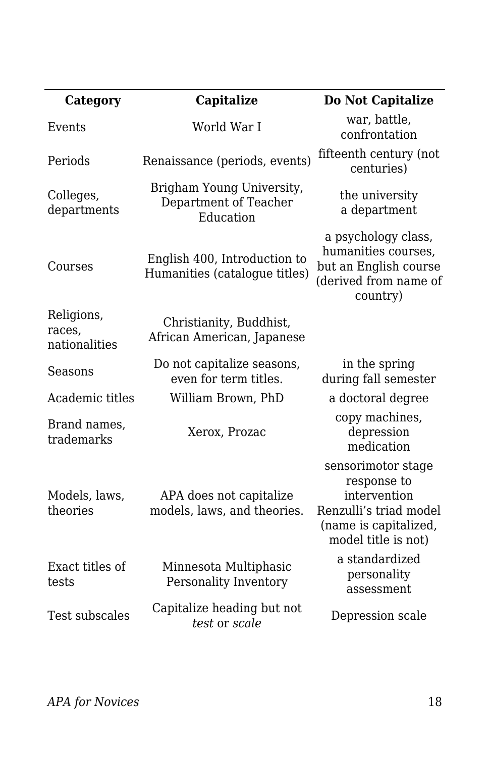| Category                              | Capitalize                                                      | Do Not Capitalize                                                                                                           |
|---------------------------------------|-----------------------------------------------------------------|-----------------------------------------------------------------------------------------------------------------------------|
| Events                                | World War I                                                     | war, battle,<br>confrontation                                                                                               |
| Periods                               | Renaissance (periods, events)                                   | fifteenth century (not<br>centuries)                                                                                        |
| Colleges,<br>departments              | Brigham Young University,<br>Department of Teacher<br>Education | the university<br>a department                                                                                              |
| Courses                               | English 400, Introduction to<br>Humanities (catalogue titles)   | a psychology class,<br>humanities courses,<br>but an English course<br>(derived from name of<br>country)                    |
| Religions,<br>races,<br>nationalities | Christianity, Buddhist,<br>African American, Japanese           |                                                                                                                             |
| Seasons                               | Do not capitalize seasons,<br>even for term titles.             | in the spring<br>during fall semester                                                                                       |
| Academic titles                       | William Brown, PhD                                              | a doctoral degree                                                                                                           |
| Brand names,<br>trademarks            | Xerox, Prozac                                                   | copy machines,<br>depression<br>medication                                                                                  |
| Models, laws,<br>theories             | APA does not capitalize<br>models, laws, and theories.          | sensorimotor stage<br>response to<br>intervention<br>Renzulli's triad model<br>(name is capitalized,<br>model title is not) |
| Exact titles of<br>tests              | Minnesota Multiphasic<br>Personality Inventory                  | a standardized<br>personality<br>assessment                                                                                 |
| Test subscales                        | Capitalize heading but not<br>test or scale                     | Depression scale                                                                                                            |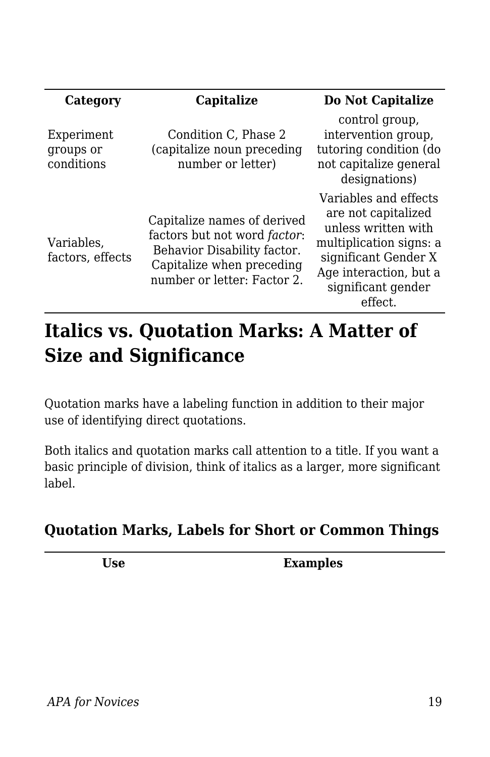| Category                              | Capitalize                                                                                                                                                     | Do Not Capitalize                                                                                                                                                                 |
|---------------------------------------|----------------------------------------------------------------------------------------------------------------------------------------------------------------|-----------------------------------------------------------------------------------------------------------------------------------------------------------------------------------|
| Experiment<br>groups or<br>conditions | Condition C, Phase 2<br>(capitalize noun preceding<br>number or letter)                                                                                        | control group,<br>intervention group,<br>tutoring condition (do<br>not capitalize general<br>designations)                                                                        |
| Variables,<br>factors, effects        | Capitalize names of derived<br>factors but not word <i>factor</i> :<br>Behavior Disability factor.<br>Capitalize when preceding<br>number or letter: Factor 2. | Variables and effects<br>are not capitalized<br>unless written with<br>multiplication signs: a<br>significant Gender X<br>Age interaction, but a<br>significant gender<br>effect. |

# **Italics vs. Quotation Marks: A Matter of Size and Significance**

Quotation marks have a labeling function in addition to their major use of identifying direct quotations.

Both italics and quotation marks call attention to a title. If you want a basic principle of division, think of italics as a larger, more significant label.

## **Quotation Marks, Labels for Short or Common Things**

**Use Examples**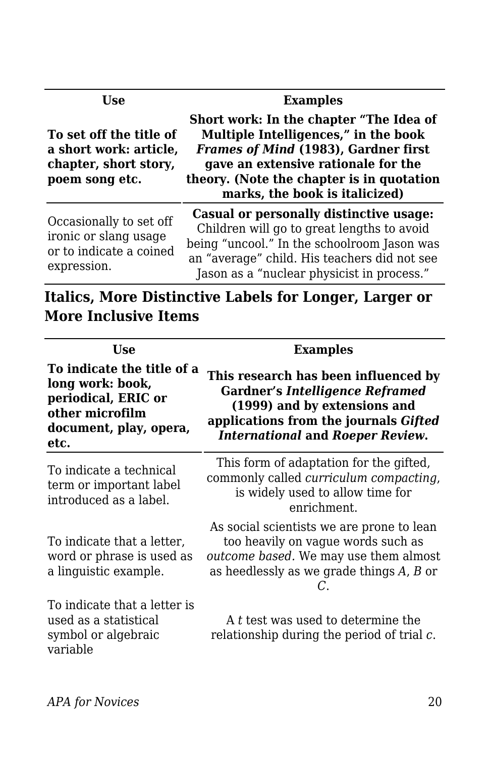| Use                                                                                          | <b>Examples</b>                                                                                                                                                                                                                                                                                                                                                                                              |  |
|----------------------------------------------------------------------------------------------|--------------------------------------------------------------------------------------------------------------------------------------------------------------------------------------------------------------------------------------------------------------------------------------------------------------------------------------------------------------------------------------------------------------|--|
| To set off the title of<br>a short work: article,<br>chapter, short story,<br>poem song etc. | Short work: In the chapter "The Idea of<br>Multiple Intelligences," in the book<br>Frames of Mind (1983), Gardner first<br>gave an extensive rationale for the<br>theory. (Note the chapter is in quotation<br>marks, the book is italicized)                                                                                                                                                                |  |
| Occasionally to set off<br>ironic or slang usage                                             | Casual or personally distinctive usage:<br>Children will go to great lengths to avoid<br>$\frac{1}{2}$ $\frac{1}{2}$ $\frac{1}{2}$ $\frac{1}{2}$ $\frac{1}{2}$ $\frac{1}{2}$ $\frac{1}{2}$ $\frac{1}{2}$ $\frac{1}{2}$ $\frac{1}{2}$ $\frac{1}{2}$ $\frac{1}{2}$ $\frac{1}{2}$ $\frac{1}{2}$ $\frac{1}{2}$ $\frac{1}{2}$ $\frac{1}{2}$ $\frac{1}{2}$ $\frac{1}{2}$ $\frac{1}{2}$ $\frac{1}{2}$ $\frac{1}{2}$ |  |

or to indicate a coined expression.

being "uncool." In the schoolroom Jason was an "average" child. His teachers did not see Jason as a "nuclear physicist in process."

**Italics, More Distinctive Labels for Longer, Larger or More Inclusive Items**

| <b>Use</b>                                                                                                                 | <b>Examples</b>                                                                                                                                                                                    |  |
|----------------------------------------------------------------------------------------------------------------------------|----------------------------------------------------------------------------------------------------------------------------------------------------------------------------------------------------|--|
| To indicate the title of a<br>long work: book,<br>periodical, ERIC or<br>other microfilm<br>document, play, opera,<br>etc. | This research has been influenced by<br><b>Gardner's Intelligence Reframed</b><br>(1999) and by extensions and<br>applications from the journals Gifted<br><b>International and Roeper Review.</b> |  |
| To indicate a technical<br>term or important label<br>introduced as a label.                                               | This form of adaptation for the gifted,<br>commonly called <i>curriculum compacting</i> ,<br>is widely used to allow time for<br>enrichment.                                                       |  |
| To indicate that a letter,<br>word or phrase is used as<br>a linguistic example.                                           | As social scientists we are prone to lean<br>too heavily on vague words such as<br>outcome based. We may use them almost<br>as heedlessly as we grade things A, B or                               |  |
| To indicate that a letter is<br>used as a statistical<br>symbol or algebraic<br>variable                                   | A t test was used to determine the<br>relationship during the period of trial $c$ .                                                                                                                |  |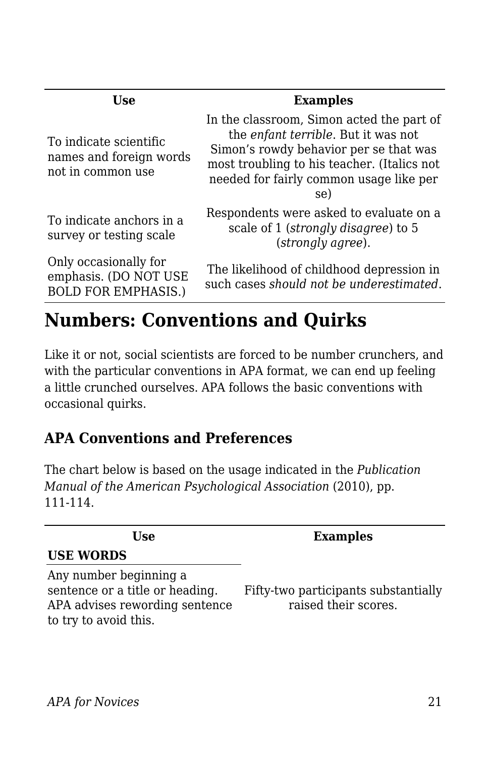| Use                                                                          | <b>Examples</b>                                                                                                                                                                                                             |
|------------------------------------------------------------------------------|-----------------------------------------------------------------------------------------------------------------------------------------------------------------------------------------------------------------------------|
| To indicate scientific<br>names and foreign words<br>not in common use       | In the classroom, Simon acted the part of<br>the enfant terrible. But it was not<br>Simon's rowdy behavior per se that was<br>most troubling to his teacher. (Italics not<br>needed for fairly common usage like per<br>se) |
| To indicate anchors in a<br>survey or testing scale                          | Respondents were asked to evaluate on a<br>scale of 1 (strongly disagree) to 5<br>(strongly agree).                                                                                                                         |
| Only occasionally for<br>emphasis. (DO NOT USE<br><b>BOLD FOR EMPHASIS.)</b> | The likelihood of childhood depression in<br>such cases should not be underestimated.                                                                                                                                       |
|                                                                              |                                                                                                                                                                                                                             |

# **Numbers: Conventions and Quirks**

Like it or not, social scientists are forced to be number crunchers, and with the particular conventions in APA format, we can end up feeling a little crunched ourselves. APA follows the basic conventions with occasional quirks.

## **APA Conventions and Preferences**

The chart below is based on the usage indicated in the *Publication Manual of the American Psychological Association* (2010), pp. 111-114.

| Use                                                                                                                  | <b>Examples</b>                                              |
|----------------------------------------------------------------------------------------------------------------------|--------------------------------------------------------------|
| <b>USE WORDS</b>                                                                                                     |                                                              |
| Any number beginning a<br>sentence or a title or heading.<br>APA advises rewording sentence<br>to try to avoid this. | Fifty-two participants substantially<br>raised their scores. |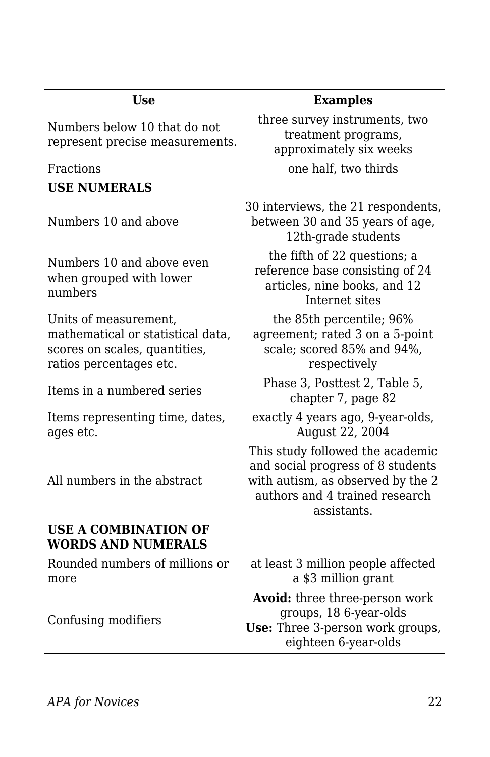Numbers below 10 that do not represent precise measurements.

**USE NUMERALS**

Numbers 10 and above

Numbers 10 and above even when grouped with lower numbers

Units of measurement, mathematical or statistical data, scores on scales, quantities, ratios percentages etc.

Items representing time, dates, ages etc.

All numbers in the abstract

#### **USE A COMBINATION OF WORDS AND NUMERALS**

Rounded numbers of millions or more

Confusing modifiers

#### **Use Examples**

three survey instruments, two treatment programs, approximately six weeks Fractions **but a contract one half**, two thirds

> 30 interviews, the 21 respondents, between 30 and 35 years of age, 12th-grade students the fifth of 22 questions; a reference base consisting of 24 articles, nine books, and 12 Internet sites the 85th percentile; 96% agreement; rated 3 on a 5-point

scale; scored 85% and 94%, respectively

Items in a numbered series Phase 3, Posttest 2, Table 5, chapter 7, page 82

> exactly 4 years ago, 9-year-olds, August 22, 2004

This study followed the academic and social progress of 8 students with autism, as observed by the 2 authors and 4 trained research assistants.

at least 3 million people affected a \$3 million grant

**Avoid:** three three-person work groups, 18 6-year-olds **Use:** Three 3-person work groups, eighteen 6-year-olds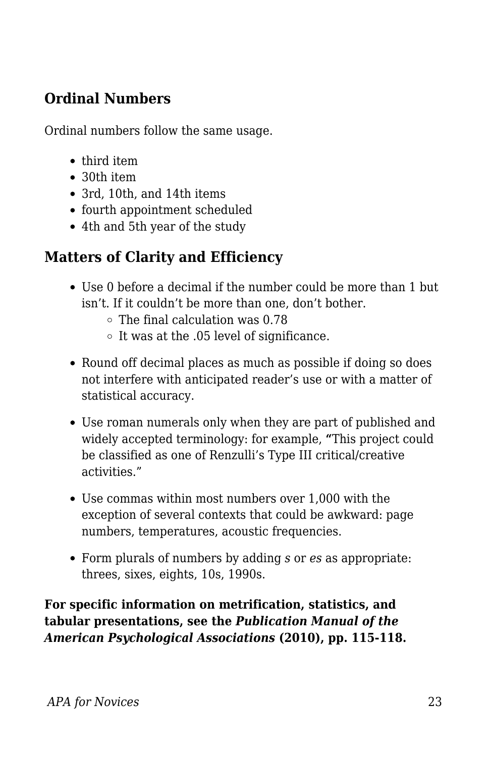## **Ordinal Numbers**

Ordinal numbers follow the same usage.

- third item
- 30th item
- 3rd, 10th, and 14th items
- fourth appointment scheduled
- 4th and 5th year of the study

## **Matters of Clarity and Efficiency**

- Use 0 before a decimal if the number could be more than 1 but isn't. If it couldn't be more than one, don't bother.
	- $\circ$  The final calculation was 0.78
	- $\circ$  It was at the .05 level of significance.
- Round off decimal places as much as possible if doing so does not interfere with anticipated reader's use or with a matter of statistical accuracy.
- Use roman numerals only when they are part of published and widely accepted terminology: for example, **"**This project could be classified as one of Renzulli's Type III critical/creative activities."
- Use commas within most numbers over 1,000 with the exception of several contexts that could be awkward: page numbers, temperatures, acoustic frequencies.
- Form plurals of numbers by adding *s* or *es* as appropriate: threes, sixes, eights, 10s, 1990s.

**For specific information on metrification, statistics, and tabular presentations, see the** *Publication Manual of the American Psychological Associations* **(2010), pp. 115-118.**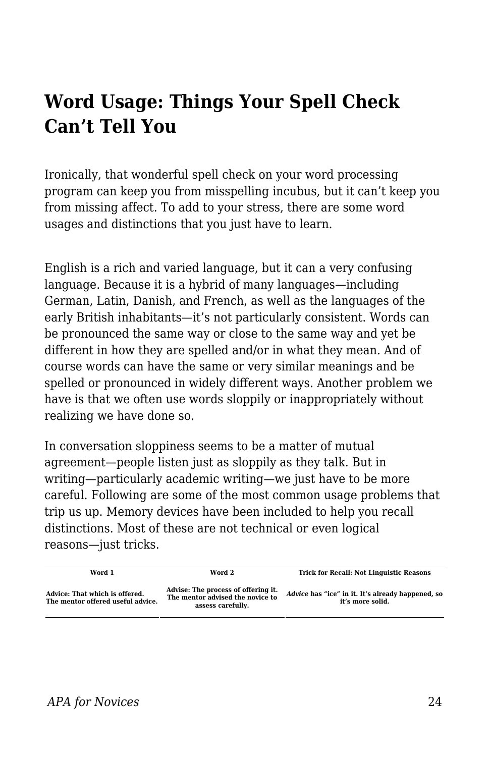# **Word Usage: Things Your Spell Check Can't Tell You**

Ironically, that wonderful spell check on your word processing program can keep you from misspelling incubus, but it can't keep you from missing affect. To add to your stress, there are some word usages and distinctions that you just have to learn.

English is a rich and varied language, but it can a very confusing language. Because it is a hybrid of many languages—including German, Latin, Danish, and French, as well as the languages of the early British inhabitants—it's not particularly consistent. Words can be pronounced the same way or close to the same way and yet be different in how they are spelled and/or in what they mean. And of course words can have the same or very similar meanings and be spelled or pronounced in widely different ways. Another problem we have is that we often use words sloppily or inappropriately without realizing we have done so.

In conversation sloppiness seems to be a matter of mutual agreement—people listen just as sloppily as they talk. But in writing—particularly academic writing—we just have to be more careful. Following are some of the most common usage problems that trip us up. Memory devices have been included to help you recall distinctions. Most of these are not technical or even logical reasons—just tricks.

| Word 1                                                              | Word 2                                                                                       | <b>Trick for Recall: Not Linguistic Reasons</b>                       |
|---------------------------------------------------------------------|----------------------------------------------------------------------------------------------|-----------------------------------------------------------------------|
| Advice: That which is offered.<br>The mentor offered useful advice. | Advise: The process of offering it.<br>The mentor advised the novice to<br>assess carefully. | Advice has "ice" in it. It's already happened, so<br>it's more solid. |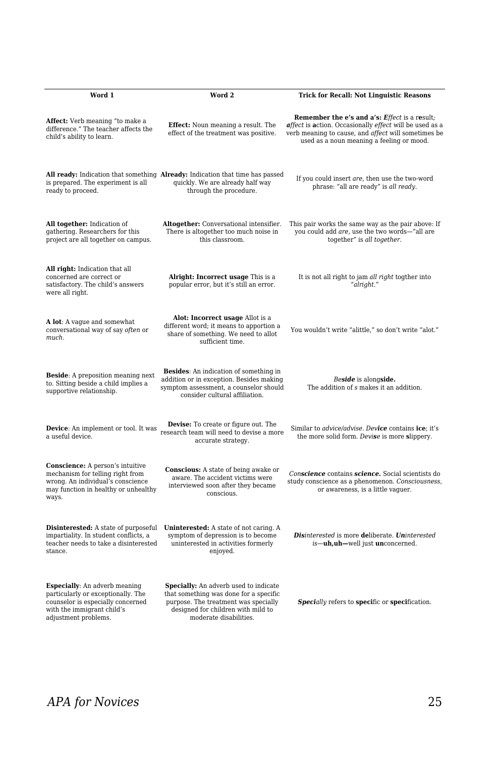| Word 1                                                                                                                                                                | Word 2                                                                                                                                                                                  | <b>Trick for Recall: Not Linguistic Reasons</b>                                                                                                                                                                     |
|-----------------------------------------------------------------------------------------------------------------------------------------------------------------------|-----------------------------------------------------------------------------------------------------------------------------------------------------------------------------------------|---------------------------------------------------------------------------------------------------------------------------------------------------------------------------------------------------------------------|
| Affect: Verb meaning "to make a<br>difference." The teacher affects the<br>child's ability to learn.                                                                  | <b>Effect:</b> Noun meaning a result. The<br>effect of the treatment was positive.                                                                                                      | <b>Remember the e's and a's: Effect is a result;</b><br>affect is action. Occasionally effect will be used as a<br>verb meaning to cause, and affect will sometimes be<br>used as a noun meaning a feeling or mood. |
| is prepared. The experiment is all<br>ready to proceed.                                                                                                               | All ready: Indication that something Already: Indication that time has passed<br>quickly. We are already half way<br>through the procedure.                                             | If you could insert are, then use the two-word<br>phrase: "all are ready" is all ready.                                                                                                                             |
| All together: Indication of<br>gathering. Researchers for this<br>project are all together on campus.                                                                 | Altogether: Conversational intensifier.<br>There is altogether too much noise in<br>this classroom.                                                                                     | This pair works the same way as the pair above: If<br>you could add are, use the two words-"all are<br>together" is all together.                                                                                   |
| <b>All right:</b> Indication that all<br>concerned are correct or<br>satisfactory. The child's answers<br>were all right.                                             | Alright: Incorrect usage This is a<br>popular error, but it's still an error.                                                                                                           | It is not all right to jam all right togther into<br>"alright."                                                                                                                                                     |
| A lot: A vague and somewhat<br>conversational way of say often or<br>much.                                                                                            | Alot: Incorrect usage Allot is a<br>different word; it means to apportion a<br>share of something. We need to allot<br>sufficient time.                                                 | You wouldn't write "alittle," so don't write "alot."                                                                                                                                                                |
| <b>Beside:</b> A preposition meaning next<br>to. Sitting beside a child implies a<br>supportive relationship.                                                         | <b>Besides:</b> An indication of something in<br>addition or in exception. Besides making<br>symptom assessment, a counselor should<br>consider cultural affiliation.                   | Beside is alongside.<br>The addition of s makes it an addition.                                                                                                                                                     |
| Device: An implement or tool. It was<br>a useful device.                                                                                                              | Devise: To create or figure out. The<br>research team will need to devise a more<br>accurate strategy.                                                                                  | Similar to <i>advice/advise</i> . Device contains ice; it's<br>the more solid form. Devise is more slippery.                                                                                                        |
| Conscience: A person's intuitive<br>mechanism for telling right from<br>wrong. An individual's conscience<br>may function in healthy or unhealthy<br>ways.            | <b>Conscious:</b> A state of being awake or<br>aware. The accident victims were<br>interviewed soon after they became<br>conscious.                                                     | Conscience contains science. Social scientists do<br>study conscience as a phenomenon. Consciousness,<br>or awareness, is a little vaguer.                                                                          |
| <b>Disinterested:</b> A state of purposeful<br>impartiality. In student conflicts, a<br>teacher needs to take a disinterested<br>stance.                              | Uninterested: A state of not caring. A<br>symptom of depression is to become<br>uninterested in activities formerly<br>enjoyed.                                                         | Disinterested is more deliberate. Uninterested<br>is-uh,uh-well just unconcerned.                                                                                                                                   |
| <b>Especially:</b> An adverb meaning<br>particularly or exceptionally. The<br>counselor is especially concerned<br>with the immigrant child's<br>adjustment problems. | Specially: An adverb used to indicate<br>that something was done for a specific<br>purpose. The treatment was specially<br>designed for children with mild to<br>moderate disabilities. | <b>Specially refers to specific or specification.</b>                                                                                                                                                               |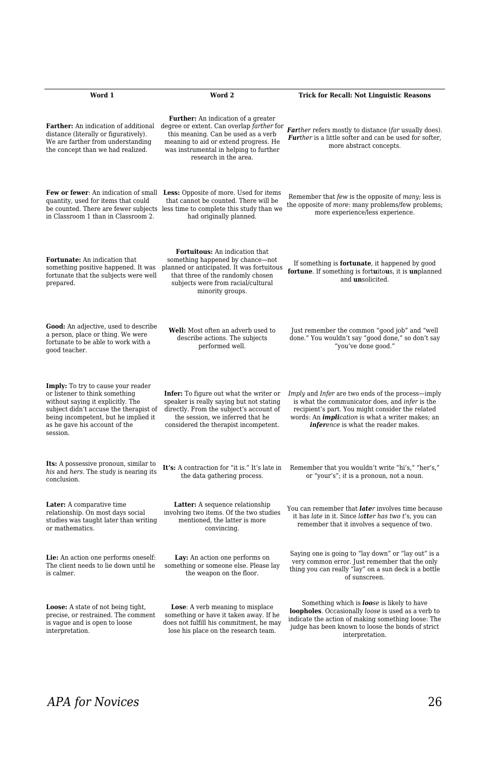| Word 1                                                                                                                                                                                                                                          | Word 2                                                                                                                                                                                                                                                                          | <b>Trick for Recall: Not Linguistic Reasons</b>                                                                                                                                                                                                            |
|-------------------------------------------------------------------------------------------------------------------------------------------------------------------------------------------------------------------------------------------------|---------------------------------------------------------------------------------------------------------------------------------------------------------------------------------------------------------------------------------------------------------------------------------|------------------------------------------------------------------------------------------------------------------------------------------------------------------------------------------------------------------------------------------------------------|
| distance (literally or figuratively).<br>We are farther from understanding<br>the concept than we had realized.                                                                                                                                 | <b>Further:</b> An indication of a greater<br>Farther: An indication of additional degree or extent. Can overlap farther for<br>this meaning. Can be used as a verb<br>meaning to aid or extend progress. He<br>was instrumental in helping to further<br>research in the area. | Farther refers mostly to distance (far usually does).<br>Further is a little softer and can be used for softer,<br>more abstract concepts.                                                                                                                 |
| quantity, used for items that could<br>in Classroom 1 than in Classroom 2.                                                                                                                                                                      | Few or fewer: An indication of small Less: Opposite of more. Used for items<br>that cannot be counted. There will be<br>be counted. There are fewer subjects less time to complete this study than we<br>had originally planned.                                                | Remember that few is the opposite of many; less is<br>the opposite of <i>more</i> : many problems/few problems;<br>more experience/less experience.                                                                                                        |
| Fortunate: An indication that<br>something positive happened. It was<br>fortunate that the subjects were well<br>prepared.                                                                                                                      | Fortuitous: An indication that<br>something happened by chance—not<br>planned or anticipated. It was fortuitous<br>that three of the randomly chosen<br>subjects were from racial/cultural<br>minority groups.                                                                  | If something is fortunate, it happened by good<br>fortune. If something is fortuitous, it is unplanned<br>and <i>unsolicited</i> .                                                                                                                         |
| Good: An adjective, used to describe<br>a person, place or thing. We were<br>fortunate to be able to work with a<br>good teacher.                                                                                                               | Well: Most often an adverb used to<br>describe actions. The subjects<br>performed well.                                                                                                                                                                                         | Just remember the common "good job" and "well<br>done." You wouldn't say "good done," so don't say<br>"you've done good."                                                                                                                                  |
| <b>Imply:</b> To try to cause your reader<br>or listener to think something<br>without saying it explicitly. The<br>subject didn't accuse the therapist of<br>being incompetent, but he implied it<br>as he gave his account of the<br>session. | Infer: To figure out what the writer or<br>speaker is really saying but not stating<br>directly. From the subject's account of<br>the session, we inferred that he<br>considered the therapist incompetent.                                                                     | Imply and Infer are two ends of the process—imply<br>is what the communicator does, and infer is the<br>recipient's part. You might consider the related<br>words: An <i>implication</i> is what a writer makes; an<br>inference is what the reader makes. |
| Its: A possessive pronoun, similar to<br>his and hers. The study is nearing its<br>conclusion.                                                                                                                                                  | It's: A contraction for "it is." It's late in<br>the data gathering process.                                                                                                                                                                                                    | Remember that you wouldn't write "hi's," "her's,"<br>or "your's"; it is a pronoun, not a noun.                                                                                                                                                             |
| Later: A comparative time<br>relationship. On most days social<br>studies was taught later than writing<br>or mathematics.                                                                                                                      | Latter: A sequence relationship<br>involving two items. Of the two studies<br>mentioned, the latter is more<br>convincing.                                                                                                                                                      | You can remember that <i>later</i> involves time because<br>it has late in it. Since latter has two t's, you can<br>remember that it involves a sequence of two.                                                                                           |
| Lie: An action one performs oneself:<br>The client needs to lie down until he<br>is calmer.                                                                                                                                                     | Lay: An action one performs on<br>something or someone else. Please lay<br>the weapon on the floor.                                                                                                                                                                             | Saying one is going to "lay down" or "lay out" is a<br>very common error. Just remember that the only<br>thing you can really "lay" on a sun deck is a bottle<br>of sunscreen.                                                                             |
| <b>Loose:</b> A state of not being tight,<br>precise, or restrained. The comment<br>is vague and is open to loose<br>interpretation.                                                                                                            | <b>Lose</b> : A verb meaning to misplace<br>something or have it taken away. If he<br>does not fulfill his commitment, he may<br>lose his place on the research team.                                                                                                           | Something which is <b>loose</b> is likely to have<br>loopholes. Occasionally loose is used as a verb to<br>indicate the action of making something loose: The<br>judge has been known to loose the bonds of strict<br>interpretation.                      |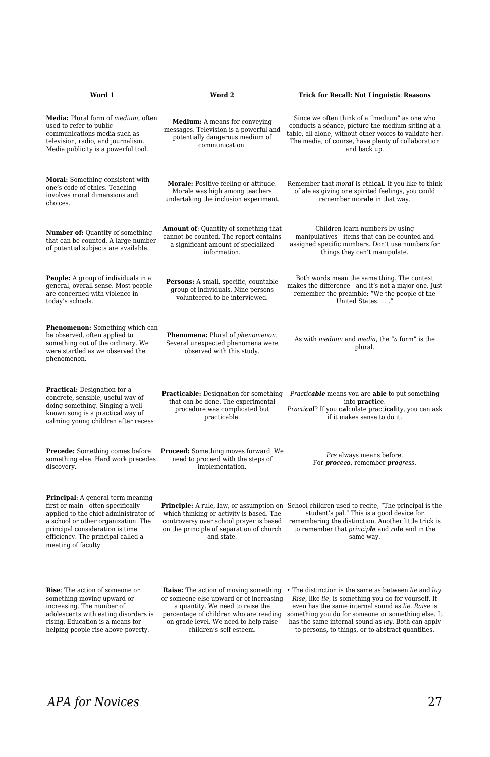| Word 1                                                                                                                                                                                                                                                       | Word 2                                                                                                                                                                                                                                    | <b>Trick for Recall: Not Linguistic Reasons</b>                                                                                                                                                                                                                                                                                                    |
|--------------------------------------------------------------------------------------------------------------------------------------------------------------------------------------------------------------------------------------------------------------|-------------------------------------------------------------------------------------------------------------------------------------------------------------------------------------------------------------------------------------------|----------------------------------------------------------------------------------------------------------------------------------------------------------------------------------------------------------------------------------------------------------------------------------------------------------------------------------------------------|
| Media: Plural form of medium, often<br>used to refer to public<br>communications media such as<br>television, radio, and journalism.<br>Media publicity is a powerful tool.                                                                                  | <b>Medium:</b> A means for conveying<br>messages. Television is a powerful and<br>potentially dangerous medium of<br>communication.                                                                                                       | Since we often think of a "medium" as one who<br>conducts a séance, picture the medium sitting at a<br>table, all alone, without other voices to validate her.<br>The media, of course, have plenty of collaboration<br>and back up.                                                                                                               |
| Moral: Something consistent with<br>one's code of ethics. Teaching<br>involves moral dimensions and<br>choices.                                                                                                                                              | Morale: Positive feeling or attitude.<br>Morale was high among teachers<br>undertaking the inclusion experiment.                                                                                                                          | Remember that moral is ethical. If you like to think<br>of ale as giving one spirited feelings, you could<br>remember morale in that way.                                                                                                                                                                                                          |
| <b>Number of:</b> Quantity of something<br>that can be counted. A large number<br>of potential subjects are available.                                                                                                                                       | Amount of: Quantity of something that<br>cannot be counted. The report contains<br>a significant amount of specialized<br>information.                                                                                                    | Children learn numbers by using<br>manipulatives-items that can be counted and<br>assigned specific numbers. Don't use numbers for<br>things they can't manipulate.                                                                                                                                                                                |
| <b>People:</b> A group of individuals in a<br>general, overall sense. Most people<br>are concerned with violence in<br>today's schools.                                                                                                                      | Persons: A small, specific, countable<br>group of individuals. Nine persons<br>volunteered to be interviewed.                                                                                                                             | Both words mean the same thing. The context<br>makes the difference—and it's not a major one. Just<br>remember the preamble: "We the people of the<br>United States"                                                                                                                                                                               |
| Phenomenon: Something which can<br>be observed, often applied to<br>something out of the ordinary. We<br>were startled as we observed the<br>phenomenon.                                                                                                     | Phenomena: Plural of phenomenon.<br>Several unexpected phenomena were<br>observed with this study.                                                                                                                                        | As with medium and media, the "a form" is the<br>plural.                                                                                                                                                                                                                                                                                           |
| <b>Practical:</b> Designation for a<br>concrete, sensible, useful way of<br>doing something. Singing a well-<br>known song is a practical way of<br>calming young children after recess                                                                      | <b>Practicable:</b> Designation for something<br>that can be done. The experimental<br>procedure was complicated but<br>practicable.                                                                                                      | Practicable means you are able to put something<br>into <b>practice</b> .<br>Practical? If you calculate practicality, you can ask<br>if it makes sense to do it.                                                                                                                                                                                  |
| <b>Precede:</b> Something comes before<br>something else. Hard work precedes<br>discovery.                                                                                                                                                                   | <b>Proceed:</b> Something moves forward. We<br>need to proceed with the steps of<br>implementation.                                                                                                                                       | Pre always means before.<br>For <b>proceed</b> , remember <b>pro</b> gress.                                                                                                                                                                                                                                                                        |
| <b>Principal:</b> A general term meaning<br>first or main—often specifically<br>applied to the chief administrator of<br>a school or other organization. The<br>principal consideration is time<br>efficiency. The principal called a<br>meeting of faculty. | which thinking or activity is based. The<br>controversy over school prayer is based<br>on the principle of separation of church<br>and state.                                                                                             | <b>Principle:</b> A rule, law, or assumption on School children used to recite, "The principal is the<br>student's pal." This is a good device for<br>remembering the distinction. Another little trick is<br>to remember that <i>principle</i> and <i>rule</i> end in the<br>same way.                                                            |
| <b>Rise:</b> The action of someone or<br>something moving upward or<br>increasing. The number of<br>adolescents with eating disorders is<br>rising. Education is a means for<br>helping people rise above poverty.                                           | <b>Raise:</b> The action of moving something<br>or someone else upward or of increasing<br>a quantity. We need to raise the<br>percentage of children who are reading<br>on grade level. We need to help raise<br>children's self-esteem. | • The distinction is the same as between <i>lie</i> and <i>lay</i> .<br>Rise, like lie, is something you do for yourself. It<br>even has the same internal sound as lie. Raise is<br>something you do for someone or something else. It<br>has the same internal sound as lay. Both can apply<br>to persons, to things, or to abstract quantities. |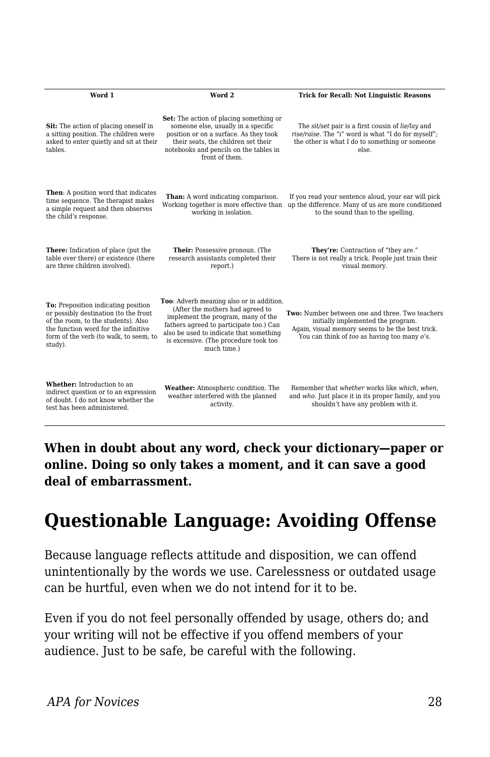| Word 1                                                                                                                                                                                                           | Word 2                                                                                                                                                                                                                                                           | <b>Trick for Recall: Not Linguistic Reasons</b>                                                                                                                                           |
|------------------------------------------------------------------------------------------------------------------------------------------------------------------------------------------------------------------|------------------------------------------------------------------------------------------------------------------------------------------------------------------------------------------------------------------------------------------------------------------|-------------------------------------------------------------------------------------------------------------------------------------------------------------------------------------------|
| Sit: The action of placing oneself in<br>a sitting position. The children were<br>asked to enter quietly and sit at their<br>tables.                                                                             | Set: The action of placing something or<br>someone else, usually in a specific<br>position or on a surface. As they took<br>their seats, the children set their<br>notebooks and pencils on the tables in<br>front of them.                                      | The sit/set pair is a first cousin of lie/lay and<br>rise/raise. The "i" word is what "I do for myself":<br>the other is what I do to something or someone<br>else.                       |
| Then: A position word that indicates<br>time sequence. The therapist makes<br>a simple request and then observes<br>the child's response.                                                                        | Than: A word indicating comparison.<br>Working together is more effective than<br>working in isolation.                                                                                                                                                          | If you read your sentence aloud, your ear will pick<br>up the difference. Many of us are more conditioned<br>to the sound than to the spelling.                                           |
| There: Indication of place (put the<br>table over there) or existence (there<br>are three children involved).                                                                                                    | Their: Possessive pronoun. (The<br>research assistants completed their<br>report.)                                                                                                                                                                               | They're: Contraction of "they are."<br>There is not really a trick. People just train their<br>visual memory.                                                                             |
| To: Preposition indicating position<br>or possibly destination (to the front<br>of the room, to the students), Also<br>the function word for the infinitive<br>form of the verb (to walk, to seem, to<br>study). | Too: Adverb meaning also or in addition.<br>(After the mothers had agreed to<br>implement the program, many of the<br>fathers agreed to participate too.) Can<br>also be used to indicate that something<br>is excessive. (The procedure took too<br>much time.) | Two: Number between one and three. Two teachers<br>initially implemented the program.<br>Again, visual memory seems to be the best trick.<br>You can think of too as having too many o's. |
| Whether: Introduction to an<br>indirect question or to an expression<br>of doubt. I do not know whether the<br>test has been administered.                                                                       | Weather: Atmospheric condition. The<br>weather interfered with the planned<br>activity.                                                                                                                                                                          | Remember that whether works like which, when,<br>and who. Just place it in its proper family, and you<br>shouldn't have any problem with it.                                              |

**When in doubt about any word, check your dictionary—paper or online. Doing so only takes a moment, and it can save a good deal of embarrassment.**

# **Questionable Language: Avoiding Offense**

Because language reflects attitude and disposition, we can offend unintentionally by the words we use. Carelessness or outdated usage can be hurtful, even when we do not intend for it to be.

Even if you do not feel personally offended by usage, others do; and your writing will not be effective if you offend members of your audience. Just to be safe, be careful with the following.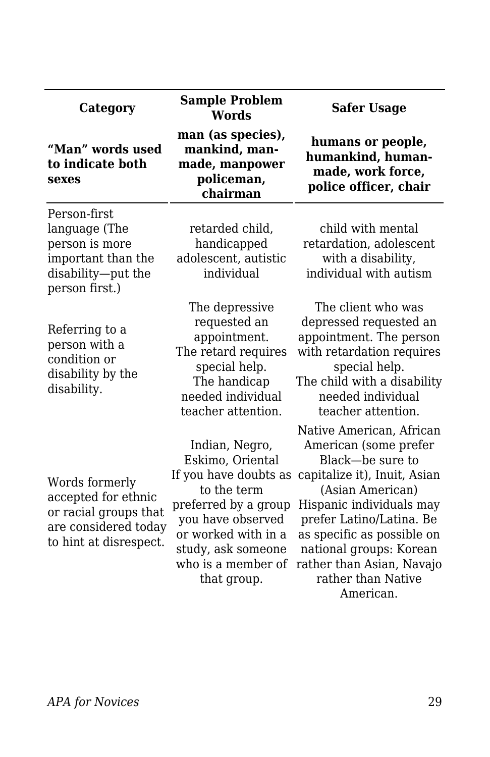| Category                                                                                                         | <b>Sample Problem</b><br><b>Words</b>                                                                                                                                                                     | <b>Safer Usage</b>                                                                                                                                                                                                                                                                                         |
|------------------------------------------------------------------------------------------------------------------|-----------------------------------------------------------------------------------------------------------------------------------------------------------------------------------------------------------|------------------------------------------------------------------------------------------------------------------------------------------------------------------------------------------------------------------------------------------------------------------------------------------------------------|
| "Man" words used<br>to indicate both<br>sexes                                                                    | man (as species),<br>mankind, man-<br>made, manpower<br>policeman,<br>chairman                                                                                                                            | humans or people,<br>humankind, human-<br>made, work force,<br>police officer, chair                                                                                                                                                                                                                       |
| Person-first<br>language (The<br>person is more<br>important than the<br>disability-put the<br>person first.)    | retarded child,<br>handicapped<br>adolescent, autistic<br>individual                                                                                                                                      | child with mental<br>retardation, adolescent<br>with a disability,<br>individual with autism                                                                                                                                                                                                               |
| Referring to a<br>person with a<br>condition or<br>disability by the<br>disability.                              | The depressive<br>requested an<br>appointment.<br>The retard requires<br>special help.<br>The handicap<br>needed individual<br>teacher attention.                                                         | The client who was<br>depressed requested an<br>appointment. The person<br>with retardation requires<br>special help.<br>The child with a disability<br>needed individual<br>teacher attention.                                                                                                            |
| Words formerly<br>accepted for ethnic<br>or racial groups that<br>are considered today<br>to hint at disrespect. | Indian, Negro,<br>Eskimo, Oriental<br>If you have doubts as<br>to the term<br>preferred by a group<br>you have observed<br>or worked with in a<br>study, ask someone<br>who is a member of<br>that group. | Native American, African<br>American (some prefer<br>Black—be sure to<br>capitalize it), Inuit, Asian<br>(Asian American)<br>Hispanic individuals may<br>prefer Latino/Latina. Be<br>as specific as possible on<br>national groups: Korean<br>rather than Asian, Navajo<br>rather than Native<br>American. |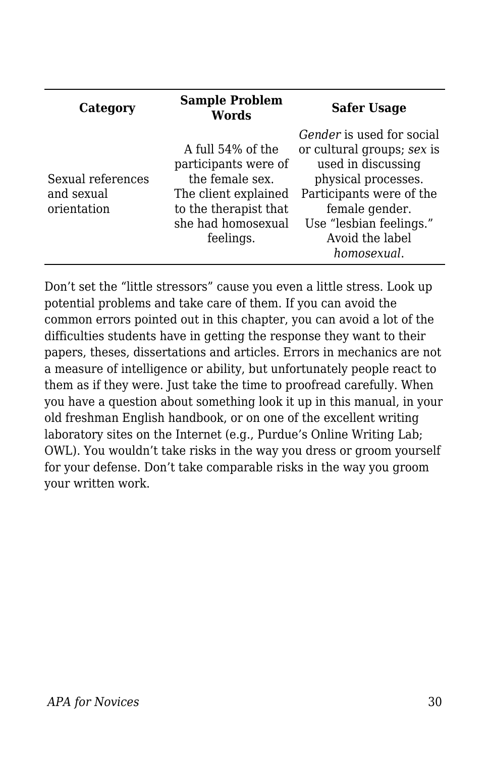| Category                                       | <b>Sample Problem</b><br><b>Words</b>                                                                                                            | <b>Safer Usage</b>                                                                                                                                                                                              |
|------------------------------------------------|--------------------------------------------------------------------------------------------------------------------------------------------------|-----------------------------------------------------------------------------------------------------------------------------------------------------------------------------------------------------------------|
| Sexual references<br>and sexual<br>orientation | A full 54% of the<br>participants were of<br>the female sex.<br>The client explained<br>to the therapist that<br>she had homosexual<br>feelings. | Gender is used for social<br>or cultural groups; sex is<br>used in discussing<br>physical processes.<br>Participants were of the<br>female gender.<br>Use "lesbian feelings."<br>Avoid the label<br>homosexual. |

Don't set the "little stressors" cause you even a little stress. Look up potential problems and take care of them. If you can avoid the common errors pointed out in this chapter, you can avoid a lot of the difficulties students have in getting the response they want to their papers, theses, dissertations and articles. Errors in mechanics are not a measure of intelligence or ability, but unfortunately people react to them as if they were. Just take the time to proofread carefully. When you have a question about something look it up in this manual, in your old freshman English handbook, or on one of the excellent writing laboratory sites on the Internet (e.g., Purdue's Online Writing Lab; OWL). You wouldn't take risks in the way you dress or groom yourself for your defense. Don't take comparable risks in the way you groom your written work.